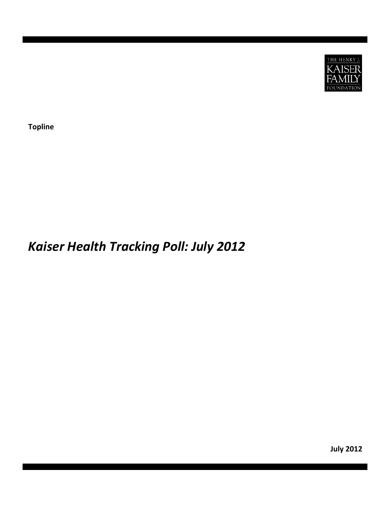

**Topline**

# *Kaiser Health Tracking Poll: July 2012*

**July 2012**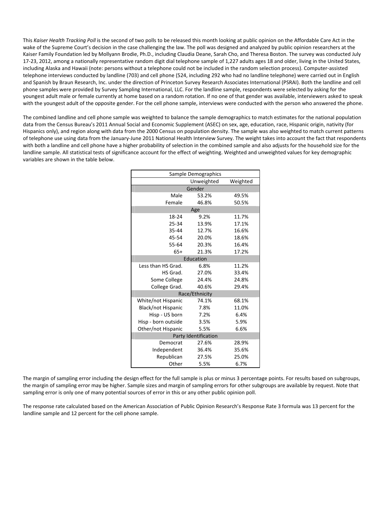This *Kaiser Health Tracking Poll* is the second of two polls to be released this month looking at public opinion on the Affordable Care Act in the wake of the Supreme Court's decision in the case challenging the law. The poll was designed and analyzed by public opinion researchers at the Kaiser Family Foundation led by Mollyann Brodie, Ph.D., including Claudia Deane, Sarah Cho, and Theresa Boston. The survey was conducted July 17-23, 2012, among a nationally representative random digit dial telephone sample of 1,227 adults ages 18 and older, living in the United States, including Alaska and Hawaii (note: persons without a telephone could not be included in the random selection process). Computer‐assisted telephone interviews conducted by landline (703) and cell phone (524, including 292 who had no landline telephone) were carried out in English and Spanish by Braun Research, Inc. under the direction of Princeton Survey Research Associates International (PSRAI). Both the landline and cell phone samples were provided by Survey Sampling International, LLC. For the landline sample, respondents were selected by asking for the youngest adult male or female currently at home based on a random rotation. If no one of that gender was available, interviewers asked to speak with the youngest adult of the opposite gender. For the cell phone sample, interviews were conducted with the person who answered the phone.

The combined landline and cell phone sample was weighted to balance the sample demographics to match estimates for the national population data from the Census Bureau's 2011 Annual Social and Economic Supplement (ASEC) on sex, age, education, race, Hispanic origin, nativity (for Hispanics only), and region along with data from the 2000 Census on population density. The sample was also weighted to match current patterns of telephone use using data from the January‐June 2011 National Health Interview Survey. The weight takes into account the fact that respondents with both a landline and cell phone have a higher probability of selection in the combined sample and also adjusts for the household size for the landline sample. All statistical tests of significance account for the effect of weighting. Weighted and unweighted values for key demographic variables are shown in the table below.

| Sample Demographics       |                      |          |  |  |  |  |
|---------------------------|----------------------|----------|--|--|--|--|
|                           | Unweighted           | Weighted |  |  |  |  |
|                           | Gender               |          |  |  |  |  |
| Male                      | 53.2%                | 49.5%    |  |  |  |  |
| Female                    | 46.8%                | 50.5%    |  |  |  |  |
|                           | Age                  |          |  |  |  |  |
| 18-24                     | 9.2%                 | 11.7%    |  |  |  |  |
| 25-34                     | 13.9%                | 17.1%    |  |  |  |  |
| 35-44                     | 12.7%                | 16.6%    |  |  |  |  |
| 45-54                     | 20.0%                | 18.6%    |  |  |  |  |
| 55-64                     | 20.3%                | 16.4%    |  |  |  |  |
| $65+$                     | 21.3%                | 17.2%    |  |  |  |  |
|                           | Education            |          |  |  |  |  |
| Less than HS Grad.        | 6.8%                 | 11.2%    |  |  |  |  |
| HS Grad.                  | 27.0%                | 33.4%    |  |  |  |  |
| Some College              | 24.4%                | 24.8%    |  |  |  |  |
| College Grad.             | 40.6%                | 29.4%    |  |  |  |  |
|                           | Race/Ethnicity       |          |  |  |  |  |
| White/not Hispanic        | 74.1%                | 68.1%    |  |  |  |  |
| <b>Black/not Hispanic</b> | 7.8%                 | 11.0%    |  |  |  |  |
| Hisp - US born            | 7.2%                 | 6.4%     |  |  |  |  |
| Hisp - born outside       | 3.5%                 | 5.9%     |  |  |  |  |
| Other/not Hispanic        | 5.5%                 | 6.6%     |  |  |  |  |
|                           | Party Identification |          |  |  |  |  |
| Democrat                  | 27.6%                | 28.9%    |  |  |  |  |
| Independent               | 36.4%                | 35.6%    |  |  |  |  |
| Republican                | 27.5%                | 25.0%    |  |  |  |  |
| Other                     | 5.5%                 | 6.7%     |  |  |  |  |

The margin of sampling error including the design effect for the full sample is plus or minus 3 percentage points. For results based on subgroups, the margin of sampling error may be higher. Sample sizes and margin of sampling errors for other subgroups are available by request. Note that sampling error is only one of many potential sources of error in this or any other public opinion poll.

The response rate calculated based on the American Association of Public Opinion Research's Response Rate 3 formula was 13 percent for the landline sample and 12 percent for the cell phone sample.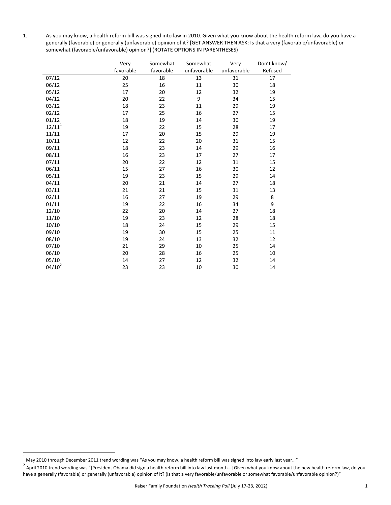1. As you may know, a health reform bill was signed into law in 2010. Given what you know about the health reform law, do you have a generally (favorable) or generally (unfavorable) opinion of it? [GET ANSWER THEN ASK: Is that a very (favorable/unfavorable) or somewhat (favorable/unfavorable) opinion?] (ROTATE OPTIONS IN PARENTHESES)

|             | Very      | Somewhat  | Somewhat    | Very        | Don't know/ |
|-------------|-----------|-----------|-------------|-------------|-------------|
|             | favorable | favorable | unfavorable | unfavorable | Refused     |
| 07/12       | 20        | 18        | 13          | 31          | 17          |
| 06/12       | 25        | 16        | 11          | 30          | 18          |
| 05/12       | 17        | 20        | 12          | 32          | 19          |
| 04/12       | 20        | 22        | 9           | 34          | 15          |
| 03/12       | 18        | 23        | 11          | 29          | 19          |
| 02/12       | 17        | 25        | 16          | 27          | 15          |
| 01/12       | 18        | 19        | 14          | 30          | 19          |
| $12/11^{1}$ | 19        | 22        | 15          | 28          | 17          |
| 11/11       | 17        | 20        | 15          | 29          | 19          |
| 10/11       | 12        | 22        | 20          | 31          | 15          |
| 09/11       | 18        | 23        | 14          | 29          | 16          |
| 08/11       | 16        | 23        | 17          | 27          | 17          |
| 07/11       | 20        | 22        | 12          | 31          | 15          |
| 06/11       | 15        | 27        | 16          | $30\,$      | 12          |
| 05/11       | 19        | 23        | 15          | 29          | 14          |
| 04/11       | 20        | 21        | 14          | 27          | 18          |
| 03/11       | 21        | 21        | 15          | 31          | 13          |
| 02/11       | 16        | 27        | 19          | 29          | 8           |
| 01/11       | 19        | 22        | 16          | 34          | 9           |
| 12/10       | 22        | $20\,$    | 14          | 27          | 18          |
| 11/10       | 19        | 23        | 12          | 28          | 18          |
| 10/10       | 18        | 24        | 15          | 29          | 15          |
| 09/10       | 19        | 30        | 15          | 25          | 11          |
| 08/10       | 19        | 24        | 13          | 32          | 12          |
| 07/10       | 21        | 29        | 10          | 25          | 14          |
| 06/10       | $20\,$    | 28        | 16          | 25          | 10          |
| 05/10       | 14        | 27        | 12          | 32          | 14          |
| $04/10^2$   | 23        | 23        | 10          | 30          | 14          |

 $^1$  May 2010 through December 2011 trend wording was "As you may know, a health reform bill was signed into law early last year…"

<sup>2</sup> April 2010 trend wording was "[President Obama did sign a health reform bill into law last month...] Given what you know about the new health reform law, do you have a generally (favorable) or generally (unfavorable) opinion of it? (Is that a very favorable/unfavorable or somewhat favorable/unfavorable opinion?)"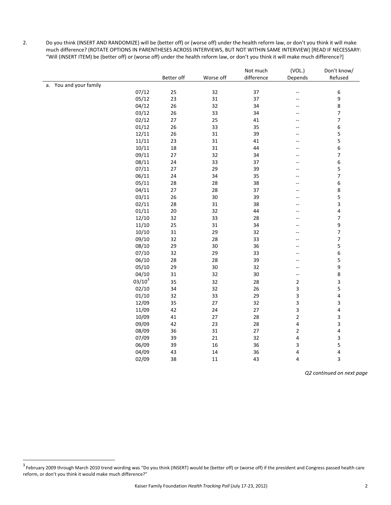2. Do you think (INSERT AND RANDOMIZE) will be (better off) or (worse off) under the health reform law, or don't you think it will make much difference? (ROTATE OPTIONS IN PARENTHESES ACROSS INTERVIEWS, BUT NOT WITHIN SAME INTERVIEW) [READ IF NECESSARY: "Will (INSERT ITEM) be (better off) or (worse off) under the health reform law, or don't you think it will make much difference?]

|                        | Better off | Worse off | Not much<br>difference | (VOL.)<br>Depends        | Don't know/<br>Refused   |
|------------------------|------------|-----------|------------------------|--------------------------|--------------------------|
| a. You and your family |            |           |                        |                          |                          |
| 07/12                  | 25         | 32        | 37                     | $\overline{\phantom{a}}$ | 6                        |
| 05/12                  | 23         | 31        | 37                     | $\overline{a}$           | 9                        |
| 04/12                  | 26         | 32        | 34                     | --                       | 8                        |
| 03/12                  | 26         | 33        | 34                     | --                       | $\overline{\mathbf{7}}$  |
| 02/12                  | 27         | 25        | 41                     |                          | 7                        |
| 01/12                  | 26         | 33        | 35                     |                          | 6                        |
| 12/11                  | 26         | 31        | 39                     |                          | 5                        |
| 11/11                  | 23         | 31        | 41                     | $-$                      | 5                        |
| 10/11                  | 18         | 31        | 44                     | $-$                      | 6                        |
| 09/11                  | 27         | 32        | 34                     | $-$                      | $\overline{\mathcal{I}}$ |
| 08/11                  | 24         | 33        | 37                     | $-$                      | 6                        |
| 07/11                  | 27         | 29        | 39                     | $-$                      | 5                        |
| 06/11                  | 24         | 34        | 35                     | --                       | $\overline{7}$           |
| 05/11                  | 28         | 28        | 38                     |                          | 6                        |
| 04/11                  | 27         | 28        | 37                     |                          | 8                        |
| 03/11                  | 26         | 30        | 39                     |                          | 5                        |
| 02/11                  | 28         | 31        | 38                     | $-$                      | 3                        |
| 01/11                  | 20         | 32        | 44                     | $-$                      | 4                        |
| 12/10                  | 32         | 33        | 28                     |                          | $\overline{\phantom{a}}$ |
| 11/10                  | 25         | 31        | 34                     | $-$                      | 9                        |
| 10/10                  | 31         | 29        | 32                     | $-$                      | $\overline{\phantom{a}}$ |
| 09/10                  | 32         | 28        | 33                     | --                       | $\overline{\phantom{a}}$ |
| 08/10                  | 29         | 30        | 36                     | $-$                      | 5                        |
| 07/10                  | 32         | 29        | 33                     |                          | 6                        |
| 06/10                  | 28         | 28        | 39                     | --                       | 5                        |
| 05/10                  | 29         | 30        | 32                     | $\overline{\phantom{a}}$ | 9                        |
| 04/10                  | 31         | 32        | $30\,$                 | $\overline{\phantom{a}}$ | 8                        |
| $03/10^3$              | 35         | 32        | 28                     | $\mathbf 2$              | 3                        |
| 02/10                  | 34         | 32        | 26                     | 3                        | 5                        |
| 01/10                  | 32         | 33        | 29                     | 3                        | $\overline{\mathbf{r}}$  |
| 12/09                  | 35         | 27        | 32                     | 3                        | 3                        |
| 11/09                  | 42         | 24        | $27\,$                 | 3                        | 4                        |
| 10/09                  | 41         | 27        | 28                     | $\overline{\mathbf{c}}$  | 3                        |
| 09/09                  | 42         | 23        | 28                     | 4                        | 3                        |
| 08/09                  | 36         | 31        | 27                     | $\overline{\mathbf{c}}$  | 4                        |
| 07/09                  | 39         | 21        | 32                     | 4                        | 3                        |
| 06/09                  | 39         | 16        | 36                     | 3                        | 5                        |
| 04/09                  | 43         | 14        | 36                     | 4                        | 4                        |
| 02/09                  | 38         | 11        | 43                     | 4                        | 3                        |

*Q2 continued on next page*

<sup>3&</sup>lt;br><sup>3</sup> February 2009 through March 2010 trend wording was "Do you think (INSERT) would be (better off) or (worse off) if the president and Congress passed health care reform, or don't you think it would make much difference?"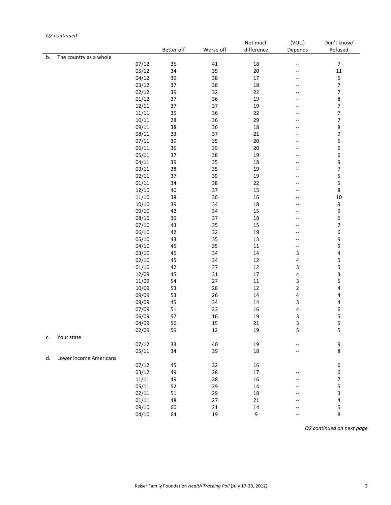## *Q2 continued*

|    |                        |       |            |           | Not much   | (VOL.)                  | Don't know/              |
|----|------------------------|-------|------------|-----------|------------|-------------------------|--------------------------|
|    |                        |       | Better off | Worse off | difference | Depends                 | Refused                  |
| b. | The country as a whole |       |            |           |            |                         |                          |
|    |                        | 07/12 | 35         | 41        | 18         | --                      | 7                        |
|    |                        | 05/12 | 34         | 35        | $20\,$     | --                      | 11                       |
|    |                        | 04/12 | 39         | 38        | 17         | --                      | 6                        |
|    |                        | 03/12 | 37         | 38        | 18         | --                      | $\overline{\phantom{a}}$ |
|    |                        | 02/12 | 39         | 32        | 22         | --                      | $\overline{\phantom{a}}$ |
|    |                        | 01/12 | 37         | 36        | 19         | --                      | 8                        |
|    |                        | 12/11 | 37         | 37        | 19         | --                      | $\overline{\phantom{a}}$ |
|    |                        | 11/11 | 35         | 36        | 22         | --                      | $\overline{\phantom{a}}$ |
|    |                        | 10/11 | 28         | 36        | 29         | --                      | $\overline{\phantom{a}}$ |
|    |                        | 09/11 | 38         | 36        | 18         | --                      | 8                        |
|    |                        | 08/11 | 33         | 37        | 21         | --                      | 9                        |
|    |                        | 07/11 | 39         | 35        | $20\,$     | --                      | 6                        |
|    |                        | 06/11 | 35         | 39        | $20\,$     | --                      | 6                        |
|    |                        | 05/11 | 37         | 38        | 19         | --                      | 6                        |
|    |                        | 04/11 | 39         | 35        | 18         | --                      | 9                        |
|    |                        | 03/11 | 38         | 35        | 19         | --                      | $\overline{7}$           |
|    |                        | 02/11 | 37         | 39        | 19         | --                      | 5                        |
|    |                        | 01/11 | 34         | 38        | 22         | --                      | 5                        |
|    |                        | 12/10 | 40         | 37        | 15         | --                      | 8                        |
|    |                        | 11/10 | 38         | 36        | 16         | --                      | 10                       |
|    |                        | 10/10 | 39         | 34        | 18         | --                      | 9                        |
|    |                        | 09/10 | 42         | 34        | 15         | --                      | 9                        |
|    |                        | 08/10 | 39         | 37        | 18         | --                      | 6                        |
|    |                        | 07/10 | 43         | 35        | 15         | --                      | $\overline{\phantom{a}}$ |
|    |                        | 06/10 | 42         | 32        | 19         | --                      | 6                        |
|    |                        | 05/10 | 43         | 35        | 13         | --                      | 9                        |
|    |                        | 04/10 | 45         | 35        | 11         | --                      | 9                        |
|    |                        | 03/10 | 45         | 34        | 14         | 3                       | 4                        |
|    |                        | 02/10 | 45         | 34        | 12         | 4                       | 5                        |
|    |                        | 01/10 | 42         | 37        | 12         | 3                       | 5                        |
|    |                        | 12/09 | 45         | 31        | 17         | 4                       | 3                        |
|    |                        | 11/09 | 54         | 27        | 11         | 3                       | 5                        |
|    |                        | 10/09 | 53         | 28        | 12         | $\overline{\mathbf{c}}$ | 4                        |
|    |                        | 09/09 | 53         | 26        | 14         | 4                       | 4                        |
|    |                        | 08/09 | 45         | 34        | 14         | 3                       | 4                        |
|    |                        | 07/09 | 51         | 23        | 16         | 4                       | 6                        |
|    |                        | 06/09 | 57         | 16        | 19         | 3                       | 5                        |
|    |                        | 04/09 | 56         | 15        | 21         | 3                       | 5                        |
|    |                        | 02/09 | 59         | 12        | 19         | 5                       | 5                        |
| c. | Your state             |       |            |           |            |                         |                          |
|    |                        | 07/12 | 33         | 40        | 19         | --                      | 9                        |
|    |                        | 05/11 | 34         | 39        | 18         |                         | 8                        |
| d. | Lower income Americans |       |            |           |            |                         |                          |
|    |                        | 07/12 | 45         | 32        | 16         |                         | 6                        |
|    |                        | 03/12 | 49         | 28        | 17         | --                      | 6                        |
|    |                        | 11/11 | 49         | 28        | 16         |                         | $\overline{\phantom{a}}$ |
|    |                        | 05/11 | 52         | 29        | 14         |                         | 5                        |
|    |                        | 02/11 | 51         | 29        | 18         |                         | 3                        |
|    |                        | 01/11 | 48         | $27\,$    | 21         |                         | 4                        |
|    |                        | 09/10 | 60         | 21        | 14         |                         | 5                        |
|    |                        | 04/10 | 64         | 19        | 9          | --                      | 8                        |

*Q2 continued on next page*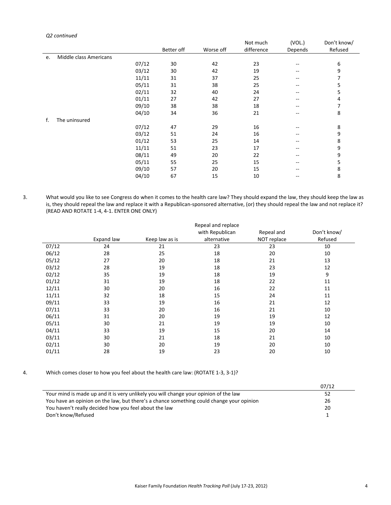#### *Q2 continued*

|    |                        |       |            |           | Not much   | (VOL.)            | Don't know/ |
|----|------------------------|-------|------------|-----------|------------|-------------------|-------------|
|    |                        |       | Better off | Worse off | difference | Depends           | Refused     |
| e. | Middle class Americans |       |            |           |            |                   |             |
|    |                        | 07/12 | 30         | 42        | 23         | --                | 6           |
|    |                        | 03/12 | 30         | 42        | 19         | $- -$             | 9           |
|    |                        | 11/11 | 31         | 37        | 25         | --                | 7           |
|    |                        | 05/11 | 31         | 38        | 25         | $\qquad \qquad -$ | 5           |
|    |                        | 02/11 | 32         | 40        | 24         | --                | 5           |
|    |                        | 01/11 | 27         | 42        | 27         | --                | 4           |
|    |                        | 09/10 | 38         | 38        | 18         | $- -$             | 7           |
|    |                        | 04/10 | 34         | 36        | 21         | --                | 8           |
| f. | The uninsured          |       |            |           |            |                   |             |
|    |                        | 07/12 | 47         | 29        | 16         |                   | 8           |
|    |                        | 03/12 | 51         | 24        | 16         | $- -$             | 9           |
|    |                        | 01/12 | 53         | 25        | 14         | --                | 8           |
|    |                        | 11/11 | 51         | 23        | 17         | --                | 9           |
|    |                        | 08/11 | 49         | 20        | 22         | --                | 9           |
|    |                        | 05/11 | 55         | 25        | 15         | --                | 5           |
|    |                        | 09/10 | 57         | 20        | 15         |                   | 8           |
|    |                        | 04/10 | 67         | 15        | 10         |                   | 8           |

3. What would you like to see Congress do when it comes to the health care law? They should expand the law, they should keep the law as is, they should repeal the law and replace it with a Republican-sponsored alternative, (or) they should repeal the law and not replace it? (READ AND ROTATE 1‐4, 4‐1. ENTER ONE ONLY)

|       |            |                | Repeal and replace |             |             |
|-------|------------|----------------|--------------------|-------------|-------------|
|       |            |                | with Republican    | Repeal and  | Don't know/ |
|       | Expand law | Keep law as is | alternative        | NOT replace | Refused     |
| 07/12 | 24         | 21             | 23                 | 23          | 10          |
| 06/12 | 28         | 25             | 18                 | 20          | 10          |
| 05/12 | 27         | 20             | 18                 | 21          | 13          |
| 03/12 | 28         | 19             | 18                 | 23          | 12          |
| 02/12 | 35         | 19             | 18                 | 19          | 9           |
| 01/12 | 31         | 19             | 18                 | 22          | 11          |
| 12/11 | 30         | 20             | 16                 | 22          | 11          |
| 11/11 | 32         | 18             | 15                 | 24          | 11          |
| 09/11 | 33         | 19             | 16                 | 21          | 12          |
| 07/11 | 33         | 20             | 16                 | 21          | 10          |
| 06/11 | 31         | 20             | 19                 | 19          | 12          |
| 05/11 | 30         | 21             | 19                 | 19          | 10          |
| 04/11 | 33         | 19             | 15                 | 20          | 14          |
| 03/11 | 30         | 21             | 18                 | 21          | 10          |
| 02/11 | 30         | 20             | 19                 | 20          | 10          |
| 01/11 | 28         | 19             | 23                 | 20          | 10          |

4. Which comes closer to how you feel about the health care law: (ROTATE 1‐3, 3‐1)?

| 07/12 |
|-------|
| 52    |
| 26    |
| 20    |
|       |
|       |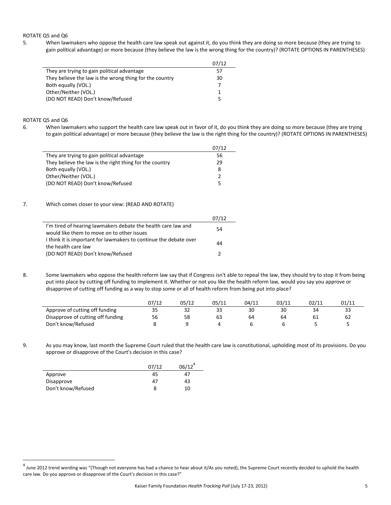## ROTATE Q5 and Q6

5. When lawmakers who oppose the health care law speak out against it, do you think they are doing so more because (they are trying to gain political advantage) or more because (they believe the law is the wrong thing for the country)? (ROTATE OPTIONS IN PARENTHESES)

|                                                         | 07/12 |
|---------------------------------------------------------|-------|
| They are trying to gain political advantage             | 57    |
| They believe the law is the wrong thing for the country | 30    |
| Both equally (VOL.)                                     | 7     |
| Other/Neither (VOL.)                                    | 1     |
| (DO NOT READ) Don't know/Refused                        | 5     |

#### ROTATE Q5 and Q6

6. When lawmakers who support the health care law speak out in favor of it, do you think they are doing so more because (they are trying to gain political advantage) or more because (they believe the law is the right thing for the country)? (ROTATE OPTIONS IN PARENTHESES)

|                                                         | 07/12 |
|---------------------------------------------------------|-------|
| They are trying to gain political advantage             | 56    |
| They believe the law is the right thing for the country | 29    |
| Both equally (VOL.)                                     | 8     |
| Other/Neither (VOL.)                                    | っ     |
| (DO NOT READ) Don't know/Refused                        | 5     |

## 7. Which comes closer to your view: (READ AND ROTATE)

|                                                                   | 07/12 |
|-------------------------------------------------------------------|-------|
| I'm tired of hearing lawmakers debate the health care law and     | 54    |
| would like them to move on to other issues                        |       |
| I think it is important for lawmakers to continue the debate over | 44    |
| the health care law                                               |       |
| (DO NOT READ) Don't know/Refused                                  | 2     |

8. Some lawmakers who oppose the health reform law say that if Congress isn't able to repeal the law, they should try to stop it from being put into place by cutting off funding to implement it. Whether or not you like the health reform law, would you say you approve or disapprove of cutting off funding as a way to stop some or all of health reform from being put into place?

|                                   | 07/12 | 05/12 | 05/11 | 04/11 | 03/11 | 02/11 | 01/11 |
|-----------------------------------|-------|-------|-------|-------|-------|-------|-------|
| Approve of cutting off funding    |       |       |       | 30    | 30    | 34    |       |
| Disapprove of cutting off funding | 56    | 58    | 63    | 64    | 64    | 61    | 62    |
| Don't know/Refused                |       |       |       |       |       |       |       |

9. As you may know, last month the Supreme Court ruled that the health care law is constitutional, upholding most of its provisions. Do you approve or disapprove of the Court's decision in this case?

|                    | 07/12 | $06/12^4$ |
|--------------------|-------|-----------|
| Approve            | 45    | 47        |
| Disapprove         | 47    | 43        |
| Don't know/Refused | 8     | 10        |

<sup>&</sup>lt;sup>4</sup> June 2012 trend wording was "(Though not everyone has had a chance to hear about it/As you noted), the Supreme Court recently decided to uphold the health care law. Do you approve or disapprove of the Court's decision in this case?"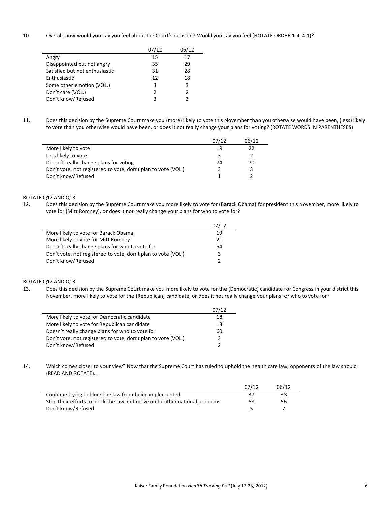10. Overall, how would you say you feel about the Court's decision? Would you say you feel (ROTATE ORDER 1-4, 4-1)?

|                                | 07/12 | 06/12         |
|--------------------------------|-------|---------------|
| Angry                          | 15    | 17            |
| Disappointed but not angry     | 35    | 29            |
| Satisfied but not enthusiastic | 31    | 28            |
| Enthusiastic                   | 12    | 18            |
| Some other emotion (VOL.)      | 3     | 3             |
| Don't care (VOL.)              | 2     | $\mathcal{P}$ |
| Don't know/Refused             | 3     | з             |

11. Does this decision by the Supreme Court make you (more) likely to vote this November than you otherwise would have been, (less) likely to vote than you otherwise would have been, or does it not really change your plans for voting? (ROTATE WORDS IN PARENTHESES)

|                                                               | 07/12 | 06/12 |
|---------------------------------------------------------------|-------|-------|
| More likely to vote                                           | 19    | 22    |
| Less likely to vote                                           | ٩     |       |
| Doesn't really change plans for voting                        | 74    | 70    |
| Don't vote, not registered to vote, don't plan to vote (VOL.) | ર     |       |
| Don't know/Refused                                            |       |       |

## ROTATE Q12 AND Q13

12. Does this decision by the Supreme Court make you more likely to vote for (Barack Obama) for president this November, more likely to vote for (Mitt Romney), or does it not really change your plans for who to vote for?

|                                                               | 07/12 |
|---------------------------------------------------------------|-------|
| More likely to vote for Barack Obama                          | 19    |
| More likely to vote for Mitt Romney                           | 21    |
| Doesn't really change plans for who to vote for               | 54    |
| Don't vote, not registered to vote, don't plan to vote (VOL.) | ર     |
| Don't know/Refused                                            |       |

### ROTATE Q12 AND Q13

13. Does this decision by the Supreme Court make you more likely to vote for the (Democratic) candidate for Congress in your district this November, more likely to vote for the (Republican) candidate, or does it not really change your plans for who to vote for?

|                                                               | 07/12 |
|---------------------------------------------------------------|-------|
| More likely to vote for Democratic candidate                  | 18    |
| More likely to vote for Republican candidate                  | 18    |
| Doesn't really change plans for who to vote for               | 60    |
| Don't vote, not registered to vote, don't plan to vote (VOL.) | 3     |
| Don't know/Refused                                            | 2     |

14. Which comes closer to your view? Now that the Supreme Court has ruled to uphold the health care law, opponents of the law should (READ AND ROTATE)…

|                                                                            | 07/12 | 06/12 |
|----------------------------------------------------------------------------|-------|-------|
| Continue trying to block the law from being implemented                    | 37    | 38    |
| Stop their efforts to block the law and move on to other national problems | 58    | 56    |
| Don't know/Refused                                                         |       |       |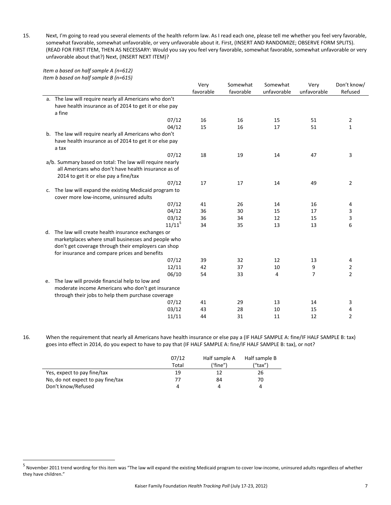15. Next, I'm going to read you several elements of the health reform law. As I read each one, please tell me whether you feel very favorable, somewhat favorable, somewhat unfavorable, or very unfavorable about it. First, (INSERT AND RANDOMIZE; OBSERVE FORM SPLITS). (READ FOR FIRST ITEM, THEN AS NECESSARY: Would you say you feel very favorable, somewhat favorable, somewhat unfavorable or very unfavorable about that?) Next, (INSERT NEXT ITEM)?

*Item a based on half sample A (n=612) Item b based on half sample B (n=615)*

|    |                                                          | Very      | Somewhat  | Somewhat    | Very           | Don't know/    |
|----|----------------------------------------------------------|-----------|-----------|-------------|----------------|----------------|
|    |                                                          | favorable | favorable | unfavorable | unfavorable    | Refused        |
|    | a. The law will require nearly all Americans who don't   |           |           |             |                |                |
|    | have health insurance as of 2014 to get it or else pay   |           |           |             |                |                |
|    | a fine                                                   |           |           |             |                |                |
|    | 07/12                                                    | 16        | 16        | 15          | 51             | 2              |
|    | 04/12                                                    | 15        | 16        | 17          | 51             | $\mathbf{1}$   |
|    | b. The law will require nearly all Americans who don't   |           |           |             |                |                |
|    | have health insurance as of 2014 to get it or else pay   |           |           |             |                |                |
|    | a tax                                                    |           |           |             |                |                |
|    | 07/12                                                    | 18        | 19        | 14          | 47             | 3              |
|    | a/b. Summary based on total: The law will require nearly |           |           |             |                |                |
|    | all Americans who don't have health insurance as of      |           |           |             |                |                |
|    | 2014 to get it or else pay a fine/tax                    |           |           |             |                |                |
|    | 07/12                                                    | 17        | 17        | 14          | 49             | $\overline{2}$ |
|    | c. The law will expand the existing Medicaid program to  |           |           |             |                |                |
|    | cover more low-income, uninsured adults                  |           |           |             |                |                |
|    | 07/12                                                    | 41        | 26        | 14          | 16             | 4              |
|    | 04/12                                                    | 36        | 30        | 15          | 17             | 3              |
|    | 03/12                                                    | 36        | 34        | 12          | 15             | 3              |
|    | $11/11^5$                                                | 34        | 35        | 13          | 13             | 6              |
|    | d. The law will create health insurance exchanges or     |           |           |             |                |                |
|    | marketplaces where small businesses and people who       |           |           |             |                |                |
|    | don't get coverage through their employers can shop      |           |           |             |                |                |
|    | for insurance and compare prices and benefits            |           |           |             |                |                |
|    | 07/12                                                    | 39        | 32        | 12          | 13             | 4              |
|    | 12/11                                                    | 42        | 37        | 10          | 9              | 2              |
|    | 06/10                                                    | 54        | 33        | 4           | $\overline{7}$ | $\overline{2}$ |
| e. | The law will provide financial help to low and           |           |           |             |                |                |
|    | moderate income Americans who don't get insurance        |           |           |             |                |                |
|    | through their jobs to help them purchase coverage        |           |           |             |                |                |
|    | 07/12                                                    | 41        | 29        | 13          | 14             | 3              |
|    | 03/12                                                    | 43        | 28        | 10          | 15             | 4              |
|    | 11/11                                                    | 44        | 31        | 11          | 12             | $\overline{2}$ |

16. When the requirement that nearly all Americans have health insurance or else pay a (IF HALF SAMPLE A: fine/IF HALF SAMPLE B: tax) goes into effect in 2014, do you expect to have to pay that (IF HALF SAMPLE A: fine/IF HALF SAMPLE B: tax), or not?

|                                   | 07/12 | Half sample A | Half sample B |
|-----------------------------------|-------|---------------|---------------|
|                                   | Total | ('fine")      | ("tax")       |
| Yes, expect to pay fine/tax       | 19    |               | 26            |
| No, do not expect to pay fine/tax | 77    | 84            | 70            |
| Don't know/Refused                |       | 4             |               |

<sup>&</sup>lt;sub>5</sub><br>™November 2011 trend wording for this item was "The law will expand the existing Medicaid program to cover low-income, uninsured adults regardless of whether they have children."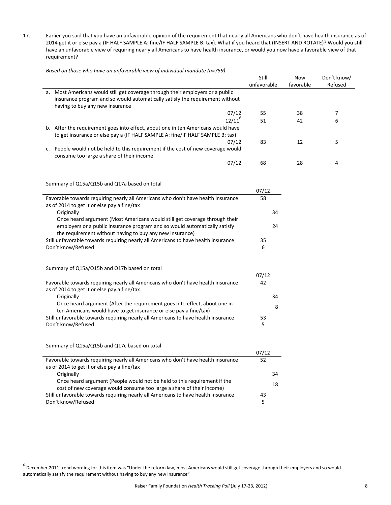17. Earlier you said that you have an unfavorable opinion of the requirement that nearly all Americans who don't have health insurance as of 2014 get it or else pay a (IF HALF SAMPLE A: fine/IF HALF SAMPLE B: tax). What if you heard that (INSERT AND ROTATE)? Would you still have an unfavorable view of requiring nearly all Americans to have health insurance, or would you now have a favorable view of that requirement?

*Based on those who have an unfavorable view of individual mandate (n=759)*

|                                                                                   | Still       | Now       | Don't know/ |
|-----------------------------------------------------------------------------------|-------------|-----------|-------------|
|                                                                                   | unfavorable | favorable | Refused     |
| a. Most Americans would still get coverage through their employers or a public    |             |           |             |
| insurance program and so would automatically satisfy the requirement without      |             |           |             |
| having to buy any new insurance                                                   |             |           |             |
| 07/12                                                                             | 55          | 38        | 7           |
| $12/11^{6}$                                                                       | 51          | 42        | 6           |
| b. After the requirement goes into effect, about one in ten Americans would have  |             |           |             |
| to get insurance or else pay a (IF HALF SAMPLE A: fine/IF HALF SAMPLE B: tax)     |             |           |             |
| 07/12                                                                             | 83          | 12        | 5           |
| c. People would not be held to this requirement if the cost of new coverage would |             |           |             |
| consume too large a share of their income                                         |             |           |             |
| 07/12                                                                             | 68          | 28        | 4           |
|                                                                                   |             |           |             |
|                                                                                   |             |           |             |
| Summary of Q15a/Q15b and Q17a based on total                                      |             |           |             |
|                                                                                   | 07/12       |           |             |
| Favorable towards requiring nearly all Americans who don't have health insurance  | 58          |           |             |
| as of 2014 to get it or else pay a fine/tax                                       |             |           |             |
| Originally                                                                        | 34          |           |             |
| Once heard argument (Most Americans would still get coverage through their        |             |           |             |
| employers or a public insurance program and so would automatically satisfy        | 24          |           |             |
| the requirement without having to buy any new insurance)                          |             |           |             |
| Still unfavorable towards requiring nearly all Americans to have health insurance | 35          |           |             |
| Don't know/Refused                                                                | 6           |           |             |
|                                                                                   |             |           |             |
| Summary of Q15a/Q15b and Q17b based on total                                      |             |           |             |
|                                                                                   | 07/12       |           |             |
| Favorable towards requiring nearly all Americans who don't have health insurance  | 42          |           |             |
| as of 2014 to get it or else pay a fine/tax                                       |             |           |             |
| Originally                                                                        | 34          |           |             |
| Once heard argument (After the requirement goes into effect, about one in         | 8           |           |             |
| ten Americans would have to get insurance or else pay a fine/tax)                 |             |           |             |
| Still unfavorable towards requiring nearly all Americans to have health insurance | 53          |           |             |
| Don't know/Refused                                                                | 5           |           |             |
|                                                                                   |             |           |             |
| Summary of Q15a/Q15b and Q17c based on total                                      |             |           |             |
|                                                                                   | 07/12       |           |             |
| Favorable towards requiring nearly all Americans who don't have health insurance  | 52          |           |             |
| as of 2014 to get it or else pay a fine/tax<br>Originally                         | 34          |           |             |
| Once heard argument (People would not be held to this requirement if the          |             |           |             |
| cost of new coverage would consume too large a share of their income)             | 18          |           |             |
| Still unfavorable towards requiring nearly all Americans to have health insurance |             |           |             |
| Don't know/Refused                                                                | 43          |           |             |
|                                                                                   | 5           |           |             |
|                                                                                   |             |           |             |

 $^6$  December 2011 trend wording for this item was "Under the reform law, most Americans would still get coverage through their employers and so would automatically satisfy the requirement without having to buy any new insurance"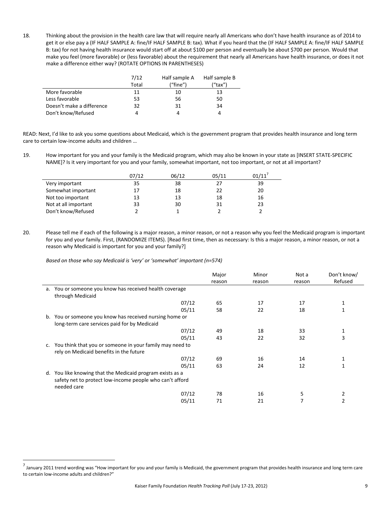18. Thinking about the provision in the health care law that will require nearly all Americans who don't have health insurance as of 2014 to get it or else pay a (IF HALF SAMPLE A: fine/IF HALF SAMPLE B: tax). What if you heard that the (IF HALF SAMPLE A: fine/IF HALF SAMPLE B: tax) for not having health insurance would start off at about \$100 per person and eventually be about \$700 per person. Would that make you feel (more favorable) or (less favorable) about the requirement that nearly all Americans have health insurance, or does it not make a difference either way? (ROTATE OPTIONS IN PARENTHESES)

|                           | 7/12  | Half sample A | Half sample B |
|---------------------------|-------|---------------|---------------|
|                           | Total | ("fine")      | ("tax")       |
| More favorable            | 11    | 10            | 13            |
| Less favorable            | 53    | 56            | 50            |
| Doesn't make a difference | 32    | 31            | 34            |
| Don't know/Refused        | 4     |               |               |

READ: Next, I'd like to ask you some questions about Medicaid, which is the government program that provides health insurance and long term care to certain low‐income adults and children …

19. How important for you and your family is the Medicaid program, which may also be known in your state as [INSERT STATE‐SPECIFIC NAME]? Is it very important for you and your family, somewhat important, not too important, or not at all important?

|                      | 07/12 | 06/12 | 05/11 | 01/11 |
|----------------------|-------|-------|-------|-------|
| Very important       | 35    | 38    | 27    | 39    |
| Somewhat important   | 17    | 18    | 22    | 20    |
| Not too important    | 13    | 13    | 18    | 16    |
| Not at all important | 33    | 30    | 31    | 23    |
| Don't know/Refused   |       |       |       |       |

20. Please tell me if each of the following is a major reason, a minor reason, or not a reason why you feel the Medicaid program is important for you and your family. First, (RANDOMIZE ITEMS). [Read first time, then as necessary: Is this a major reason, a minor reason, or not a reason why Medicaid is important for you and your family?]

*Based on those who say Medicaid is 'very' or 'somewhat' important (n=574)*

|    |                                                                             | Major  | Minor  | Not a  | Don't know/<br>Refused |
|----|-----------------------------------------------------------------------------|--------|--------|--------|------------------------|
|    |                                                                             | reason | reason | reason |                        |
|    | a. You or someone you know has received health coverage<br>through Medicaid |        |        |        |                        |
|    | 07/12                                                                       | 65     | 17     | 17     |                        |
|    |                                                                             |        |        |        |                        |
|    | 05/11                                                                       | 58     | 22     | 18     |                        |
| b. | You or someone you know has received nursing home or                        |        |        |        |                        |
|    | long-term care services paid for by Medicaid                                |        |        |        |                        |
|    | 07/12                                                                       | 49     | 18     | 33     | 1                      |
|    | 05/11                                                                       | 43     | 22     | 32     | 3                      |
| c. | You think that you or someone in your family may need to                    |        |        |        |                        |
|    | rely on Medicaid benefits in the future                                     |        |        |        |                        |
|    | 07/12                                                                       | 69     | 16     | 14     |                        |
|    | 05/11                                                                       | 63     | 24     | 12     |                        |
|    | d. You like knowing that the Medicaid program exists as a                   |        |        |        |                        |
|    | safety net to protect low-income people who can't afford                    |        |        |        |                        |
|    | needed care                                                                 |        |        |        |                        |
|    | 07/12                                                                       | 78     | 16     | 5      | 2                      |
|    | 05/11                                                                       | 71     | 21     |        | 2                      |

<sup>&</sup>lt;sup>7</sup> January 2011 trend wording was "How important for you and your family is Medicaid, the government program that provides health insurance and long term care to certain low‐income adults and children?"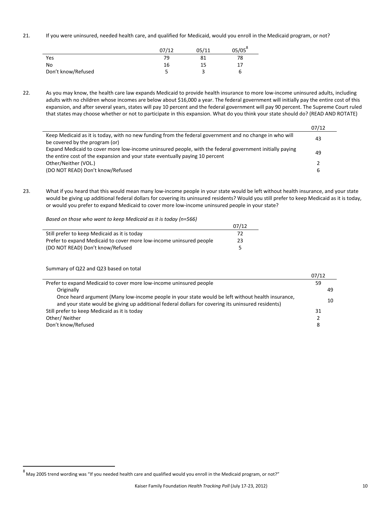21. If you were uninsured, needed health care, and qualified for Medicaid, would you enroll in the Medicaid program, or not?

|                    | 07/12 | 05/11 | $05/05^{\circ}$ |
|--------------------|-------|-------|-----------------|
| Yes                | 79    | 81    | 78              |
| <b>No</b>          | 16    | 15    |                 |
| Don't know/Refused |       |       |                 |

22. As you may know, the health care law expands Medicaid to provide health insurance to more low-income uninsured adults, including adults with no children whose incomes are below about \$16,000 a year. The federal government will initially pay the entire cost of this expansion, and after several years, states will pay 10 percent and the federal government will pay 90 percent. The Supreme Court ruled that states may choose whether or not to participate in this expansion. What do you think your state should do? (READ AND ROTATE)

|                                                                                                         | 07/12 |
|---------------------------------------------------------------------------------------------------------|-------|
| Keep Medicaid as it is today, with no new funding from the federal government and no change in who will | 43    |
| be covered by the program (or)                                                                          |       |
| Expand Medicaid to cover more low-income uninsured people, with the federal government initially paying | 49    |
| the entire cost of the expansion and your state eventually paying 10 percent                            |       |
| Other/Neither (VOL.)                                                                                    |       |
| (DO NOT READ) Don't know/Refused                                                                        | 6     |
|                                                                                                         |       |

23. What if you heard that this would mean many low-income people in your state would be left without health insurance, and your state would be giving up additional federal dollars for covering its uninsured residents? Would you still prefer to keep Medicaid as it is today, or would you prefer to expand Medicaid to cover more low-income uninsured people in your state?

*Based on those who want to keep Medicaid as it is today (n=566)*

|                                                                     | 07/12 |
|---------------------------------------------------------------------|-------|
| Still prefer to keep Medicaid as it is today                        | 72    |
| Prefer to expand Medicaid to cover more low-income uninsured people | 23    |
| (DO NOT READ) Don't know/Refused                                    | 5     |

Summary of Q22 and Q23 based on total

|                                                                                                                                                                                                         | <u>07712</u> |
|---------------------------------------------------------------------------------------------------------------------------------------------------------------------------------------------------------|--------------|
| Prefer to expand Medicaid to cover more low-income uninsured people                                                                                                                                     | 59           |
| Originally                                                                                                                                                                                              | 49           |
| Once heard argument (Many low-income people in your state would be left without health insurance,<br>and your state would be giving up additional federal dollars for covering its uninsured residents) | 10           |
| Still prefer to keep Medicaid as it is today                                                                                                                                                            | 31           |
| Other/Neither                                                                                                                                                                                           |              |
| Don't know/Refused                                                                                                                                                                                      | 8            |

 $0 - 112$ 

 8 May 2005 trend wording was "If you needed health care and qualified would you enroll in the Medicaid program, or not?"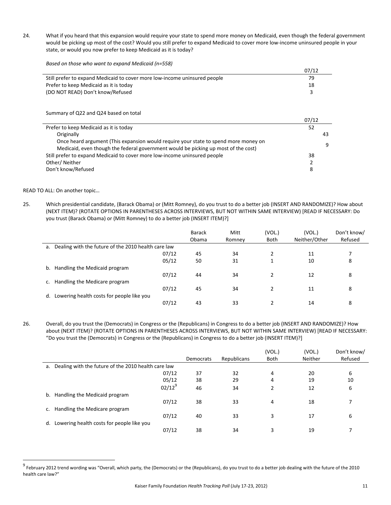24. What if you heard that this expansion would require your state to spend more money on Medicaid, even though the federal government would be picking up most of the cost? Would you still prefer to expand Medicaid to cover more low-income uninsured people in your state, or would you now prefer to keep Medicaid as it is today?

*Based on those who want to expand Medicaid (n=558)*

|                                                                           | 07/12 |
|---------------------------------------------------------------------------|-------|
| Still prefer to expand Medicaid to cover more low-income uninsured people | 79    |
| Prefer to keep Medicaid as it is today                                    | 18    |
| (DO NOT READ) Don't know/Refused                                          |       |

Summary of Q22 and Q24 based on total

|                                                                                     | 07/12         |    |
|-------------------------------------------------------------------------------------|---------------|----|
| Prefer to keep Medicaid as it is today                                              | 52            |    |
| Originally                                                                          |               | 43 |
| Once heard argument (This expansion would require your state to spend more money on |               | q  |
| Medicaid, even though the federal government would be picking up most of the cost)  |               |    |
| Still prefer to expand Medicaid to cover more low-income uninsured people           | 38            |    |
| Other/Neither                                                                       | $\mathcal{P}$ |    |
| Don't know/Refused                                                                  | 8             |    |

READ TO ALL: On another topic…

25. Which presidential candidate, (Barack Obama) or (Mitt Romney), do you trust to do a better job (INSERT AND RANDOMIZE)? How about (NEXT ITEM)? (ROTATE OPTIONS IN PARENTHESES ACROSS INTERVIEWS, BUT NOT WITHIN SAME INTERVIEW) [READ IF NECESSARY: Do you trust (Barack Obama) or (Mitt Romney) to do a better job (INSERT ITEM)?]

|                                                           |       | <b>Barack</b><br>Obama | Mitt<br>Romney | (VOL.)<br>Both | (VOL.)<br>Neither/Other | Don't know/<br>Refused |
|-----------------------------------------------------------|-------|------------------------|----------------|----------------|-------------------------|------------------------|
| Dealing with the future of the 2010 health care law<br>a. |       |                        |                |                |                         |                        |
|                                                           | 07/12 | 45                     | 34             |                | 11                      |                        |
|                                                           | 05/12 | 50                     | 31             | 1              | 10                      | 8                      |
| Handling the Medicaid program<br>b.                       |       |                        |                |                |                         |                        |
|                                                           | 07/12 | 44                     | 34             |                | 12                      | 8                      |
| Handling the Medicare program<br>C.                       |       |                        |                |                |                         |                        |
|                                                           | 07/12 | 45                     | 34             |                | 11                      | 8                      |
| Lowering health costs for people like you<br>d.           |       |                        |                |                |                         |                        |
|                                                           | 07/12 | 43                     | 33             |                | 14                      | 8                      |

26. Overall, do you trust the (Democrats) in Congress or the (Republicans) in Congress to do a better job (INSERT AND RANDOMIZE)? How about (NEXT ITEM)? (ROTATE OPTIONS IN PARENTHESES ACROSS INTERVIEWS, BUT NOT WITHIN SAME INTERVIEW) [READ IF NECESSARY: "Do you trust the (Democrats) in Congress or the (Republicans) in Congress to do a better job (INSERT ITEM)?]

|    |                                                        |           |             | (VOL.)      | (VOL.)  | Don't know/ |
|----|--------------------------------------------------------|-----------|-------------|-------------|---------|-------------|
|    |                                                        | Democrats | Republicans | <b>Both</b> | Neither | Refused     |
|    | a. Dealing with the future of the 2010 health care law |           |             |             |         |             |
|    | 07/12                                                  | 37        | 32          | 4           | 20      | 6           |
|    | 05/12                                                  | 38        | 29          | 4           | 19      | 10          |
|    | $02/12^{9}$                                            | 46        | 34          | 2           | 12      | 6           |
| b. | Handling the Medicaid program                          |           |             |             |         |             |
|    | 07/12                                                  | 38        | 33          | 4           | 18      |             |
|    | Handling the Medicare program                          |           |             |             |         |             |
|    | 07/12                                                  | 40        | 33          | 3           | 17      | 6           |
| d. | Lowering health costs for people like you              |           |             |             |         |             |
|    | 07/12                                                  | 38        | 34          | 3           | 19      | 7           |

<sup>&</sup>lt;sup>9</sup> February 2012 trend wording was "Overall, which party, the (Democrats) or the (Republicans), do you trust to do a better job dealing with the future of the 2010 health care law?"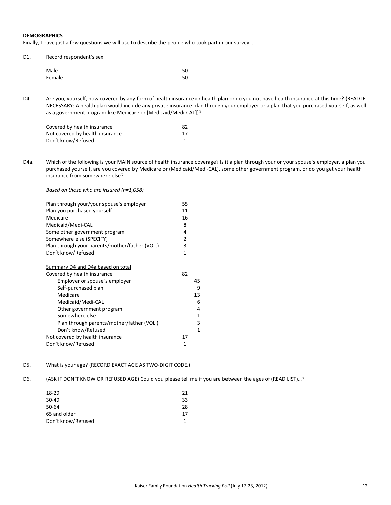## **DEMOGRAPHICS**

Finally, I have just a few questions we will use to describe the people who took part in our survey…

| D1. | Record respondent's sex |
|-----|-------------------------|
|-----|-------------------------|

| Male   | 50 |
|--------|----|
| Female | 50 |

D4. Are you, yourself, now covered by any form of health insurance or health plan or do you not have health insurance at this time? (READ IF NECESSARY: A health plan would include any private insurance plan through your employer or a plan that you purchased yourself, as well as a government program like Medicare or [Medicaid/Medi‐CAL])?

| Covered by health insurance     | 82 |
|---------------------------------|----|
| Not covered by health insurance | 17 |
| Don't know/Refused              |    |

D4a. Which of the following is your MAIN source of health insurance coverage? Is it a plan through your or your spouse's employer, a plan you purchased yourself, are you covered by Medicare or (Medicaid/Medi‐CAL), some other government program, or do you get your health insurance from somewhere else?

#### *Based on those who are insured (n=1,058)*

| Plan through your/your spouse's employer       | 55 |    |
|------------------------------------------------|----|----|
| Plan you purchased yourself                    | 11 |    |
| Medicare                                       | 16 |    |
| Medicaid/Medi-CAL                              | 8  |    |
| Some other government program                  | 4  |    |
| Somewhere else (SPECIFY)                       | 2  |    |
| Plan through your parents/mother/father (VOL.) | 3  |    |
| Don't know/Refused                             | 1  |    |
| Summary D4 and D4a based on total              |    |    |
| Covered by health insurance                    | 82 |    |
| Employer or spouse's employer                  |    | 45 |
| Self-purchased plan                            |    | 9  |
| Medicare                                       |    | 13 |
| Medicaid/Medi-CAL                              |    | 6  |
| Other government program                       |    | 4  |
| Somewhere else                                 |    | 1  |
| Plan through parents/mother/father (VOL.)      |    | 3  |
| Don't know/Refused                             |    | 1  |
| Not covered by health insurance                | 17 |    |
| Don't know/Refused                             | 1  |    |

#### D5. What is your age? (RECORD EXACT AGE AS TWO-DIGIT CODE.)

D6. (ASK IF DON'T KNOW OR REFUSED AGE) Could you please tell me if you are between the ages of (READ LIST)…?

| 18-29              | 21 |
|--------------------|----|
| $30 - 49$          | 33 |
| 50-64              | 28 |
| 65 and older       | 17 |
| Don't know/Refused |    |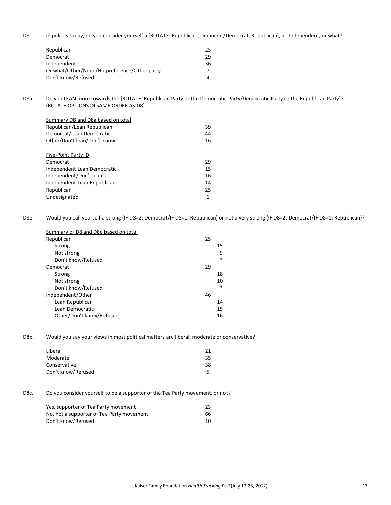D8. In politics today, do you consider yourself a [ROTATE: Republican, Democrat/Democrat, Republican], an Independent, or what?

| Republican                                   | 25 |
|----------------------------------------------|----|
| Democrat                                     | 29 |
| Independent                                  | 36 |
| Or what/Other/None/No preference/Other party | 7  |
| Don't know/Refused                           |    |

D8a. Do you LEAN more towards the [ROTATE: Republican Party or the Democratic Party/Democratic Party or the Republican Party]? (ROTATE OPTIONS IN SAME ORDER AS D8)

| Summary D8 and D8a based on total |    |
|-----------------------------------|----|
| Republican/Lean Republican        | 39 |
| Democrat/Lean Democratic          | 44 |
| Other/Don't lean/Don't know       | 16 |
|                                   |    |
| Five-Point Party ID               |    |
| Democrat                          | 29 |
| Independent Lean Democratic       | 15 |
| Independent/Don't lean            | 16 |
| Independent Lean Republican       | 14 |
| Republican                        | 25 |
| Undesignated                      |    |

D8e. Would you call yourself a strong (IF D8=2: Democrat/IF D8=1: Republican) or not a very strong (IF D8=2: Democrat/IF D8=1: Republican)?

| Summary of D8 and D8e based on total |    |        |
|--------------------------------------|----|--------|
| Republican                           | 25 |        |
| Strong                               |    | 15     |
| Not strong                           |    | 9      |
| Don't know/Refused                   |    | $\ast$ |
| Democrat                             | 29 |        |
| Strong                               |    | 18     |
| Not strong                           |    | 10     |
| Don't know/Refused                   |    | $\ast$ |
| Independent/Other                    | 46 |        |
| Lean Republican                      |    | 14     |
| Lean Democratic                      |    | 15     |
| Other/Don't know/Refused             |    | 16     |

D8b. Would you say your views in most political matters are liberal, moderate or conservative?

| 21 |
|----|
| 35 |
| 38 |
| 5  |
|    |

D8c. Do you consider yourself to be a supporter of the Tea Party movement, or not?

| Yes, supporter of Tea Party movement      | 23 |
|-------------------------------------------|----|
| No, not a supporter of Tea Party movement | 66 |
| Don't know/Refused                        | 10 |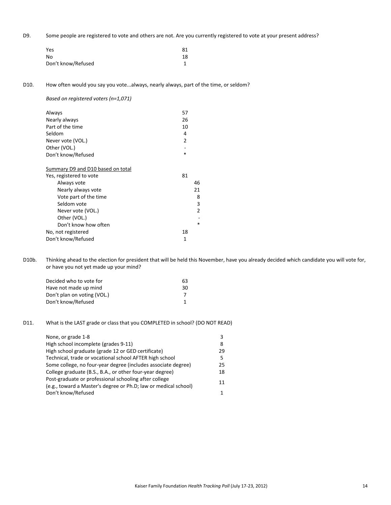D9. Some people are registered to vote and others are not. Are you currently registered to vote at your present address?

| Yes                | 81 |
|--------------------|----|
| No                 | 18 |
| Don't know/Refused |    |

D10. How often would you say you vote...always, nearly always, part of the time, or seldom?

*Based on registered voters (n=1,071)*

| Always                            | 57             |
|-----------------------------------|----------------|
| Nearly always                     | 26             |
| Part of the time                  | 10             |
| Seldom                            | 4              |
| Never vote (VOL.)                 | $\overline{2}$ |
| Other (VOL.)                      |                |
| Don't know/Refused                | $\ast$         |
|                                   |                |
| Summary D9 and D10 based on total |                |
| Yes, registered to vote           | 81             |
| Always vote                       | 46             |
| Nearly always vote                | 21             |
| Vote part of the time             | 8              |
| Seldom vote                       | 3              |
| Never vote (VOL.)                 | 2              |
| Other (VOL.)                      |                |
| Don't know how often              | $\ast$         |

D10b. Thinking ahead to the election for president that will be held this November, have you already decided which candidate you will vote for, or have you not yet made up your mind?

| 63 |
|----|
| 30 |
|    |
|    |
|    |

No, not registered 18 Don't know/Refused 1

## D11. What is the LAST grade or class that you COMPLETED in school? (DO NOT READ)

| None, or grade 1-8                                                                                                       | 3  |
|--------------------------------------------------------------------------------------------------------------------------|----|
| High school incomplete (grades 9-11)                                                                                     | 8  |
| High school graduate (grade 12 or GED certificate)                                                                       | 29 |
| Technical, trade or vocational school AFTER high school                                                                  | 5  |
| Some college, no four-year degree (includes associate degree)                                                            | 25 |
| College graduate (B.S., B.A., or other four-year degree)                                                                 | 18 |
| Post-graduate or professional schooling after college<br>(e.g., toward a Master's degree or Ph.D; law or medical school) | 11 |
| Don't know/Refused                                                                                                       |    |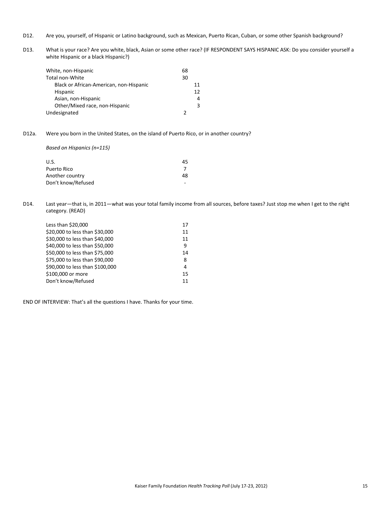- D12. Are you, yourself, of Hispanic or Latino background, such as Mexican, Puerto Rican, Cuban, or some other Spanish background?
- D13. What is your race? Are you white, black, Asian or some other race? (IF RESPONDENT SAYS HISPANIC ASK: Do you consider yourself a white Hispanic or a black Hispanic?)

| White, non-Hispanic                     | 68 |    |
|-----------------------------------------|----|----|
| Total non-White                         | 30 |    |
| Black or African-American, non-Hispanic |    | 11 |
| <b>Hispanic</b>                         |    | 12 |
| Asian, non-Hispanic                     |    | 4  |
| Other/Mixed race, non-Hispanic          |    |    |
| Undesignated                            |    |    |

D12a. Were you born in the United States, on the island of Puerto Rico, or in another country?

*Based on Hispanics (n=115)*

| U.S.               | 45 |
|--------------------|----|
| Puerto Rico        |    |
| Another country    | 48 |
| Don't know/Refused |    |

D14. Last year—that is, in 2011—what was your total family income from all sources, before taxes? Just stop me when I get to the right category. (READ)

| Less than \$20,000              | 17 |
|---------------------------------|----|
| \$20,000 to less than \$30,000  | 11 |
| \$30,000 to less than \$40,000  | 11 |
| \$40,000 to less than \$50,000  | q  |
| \$50,000 to less than \$75,000  | 14 |
| \$75,000 to less than \$90,000  | 8  |
| \$90,000 to less than \$100,000 | 4  |
| \$100,000 or more               | 15 |
| Don't know/Refused              | 11 |
|                                 |    |

END OF INTERVIEW: That's all the questions I have. Thanks for your time.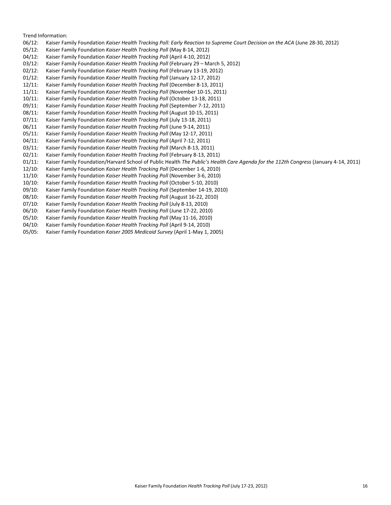Trend Information:

- 06/12: Kaiser Family Foundation *Kaiser Health Tracking Poll: Early Reaction to Supreme Court Decision on the ACA* (June 28‐30, 2012)
- 05/12: Kaiser Family Foundation *Kaiser Health Tracking Poll* (May 8‐14, 2012)
- 04/12: Kaiser Family Foundation *Kaiser Health Tracking Poll* (April 4‐10, 2012)
- 03/12: Kaiser Family Foundation *Kaiser Health Tracking Poll* (February 29 March 5, 2012)
- 02/12: Kaiser Family Foundation *Kaiser Health Tracking Poll* (February 13‐19, 2012)
- 01/12: Kaiser Family Foundation *Kaiser Health Tracking Poll* (January 12‐17, 2012)
- 12/11: Kaiser Family Foundation *Kaiser Health Tracking Poll* (December 8‐13, 2011)
- 11/11: Kaiser Family Foundation *Kaiser Health Tracking Poll* (November 10‐15, 2011)
- 10/11: Kaiser Family Foundation *Kaiser Health Tracking Poll* (October 13‐18, 2011)
- 09/11: Kaiser Family Foundation *Kaiser Health Tracking Poll* (September 7‐12, 2011)
- 08/11: Kaiser Family Foundation *Kaiser Health Tracking Poll* (August 10‐15, 2011)
- 07/11: Kaiser Family Foundation *Kaiser Health Tracking Poll* (July 13‐18, 2011)
- 06/11 Kaiser Family Foundation *Kaiser Health Tracking Poll* (June 9‐14, 2011)
- 05/11: Kaiser Family Foundation *Kaiser Health Tracking Poll* (May 12‐17, 2011)
- 04/11: Kaiser Family Foundation *Kaiser Health Tracking Poll* (April 7‐12, 2011)
- 03/11: Kaiser Family Foundation *Kaiser Health Tracking Poll* (March 8‐13, 2011)
- 02/11: Kaiser Family Foundation *Kaiser Health Tracking Poll* (February 8‐13, 2011)
- 01/11: Kaiser Family Foundation/Harvard School of Public Health *The Public's Health Care Agenda for the 112th Congress* (January 4‐14, 2011)
- 12/10: Kaiser Family Foundation *Kaiser Health Tracking Poll* (December 1‐6, 2010)
- 11/10: Kaiser Family Foundation *Kaiser Health Tracking Poll* (November 3‐6, 2010)
- 10/10: Kaiser Family Foundation *Kaiser Health Tracking Poll* (October 5‐10, 2010)
- 09/10: Kaiser Family Foundation *Kaiser Health Tracking Poll* (September 14‐19, 2010)
- 08/10: Kaiser Family Foundation *Kaiser Health Tracking Poll* (August 16‐22, 2010)
- 07/10: Kaiser Family Foundation *Kaiser Health Tracking Poll* (July 8‐13, 2010)
- 06/10: Kaiser Family Foundation *Kaiser Health Tracking Poll* (June 17‐22, 2010)
- 05/10: Kaiser Family Foundation *Kaiser Health Tracking Poll* (May 11‐16, 2010)
- 04/10: Kaiser Family Foundation *Kaiser Health Tracking Poll* (April 9‐14, 2010)
- 05/05: Kaiser Family Foundation *Kaiser 2005 Medicaid Survey* (April 1‐May 1, 2005)